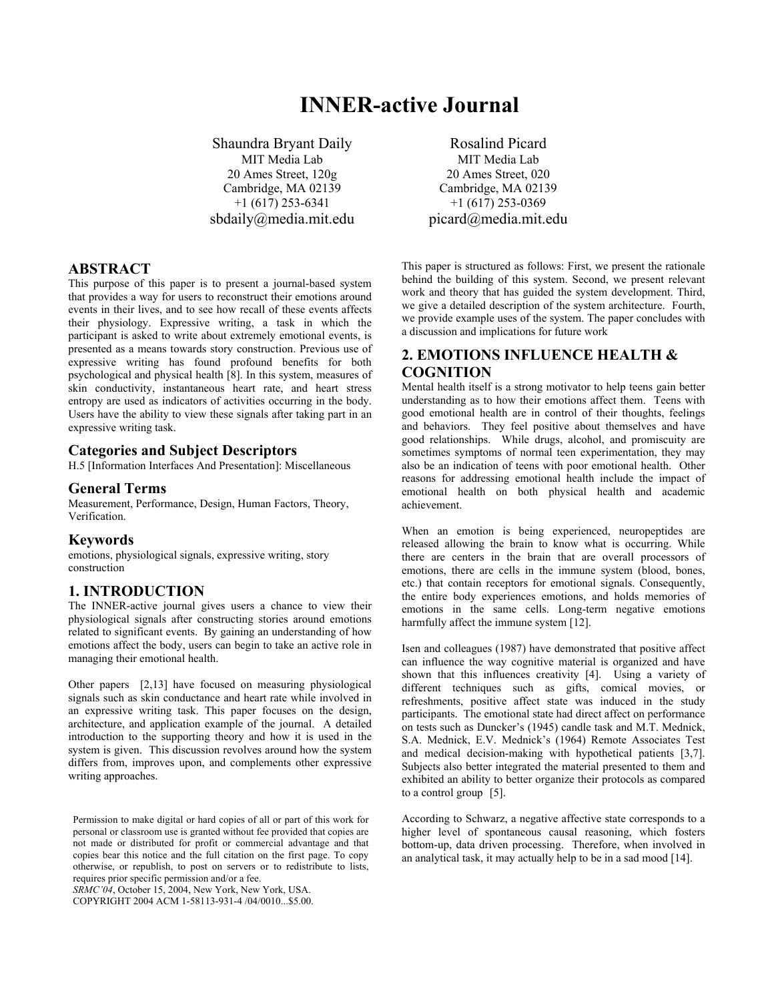# **INNER-active Journal**

Shaundra Bryant Daily Rosalind Picard MIT Media Lab 20 Ames Street, 120g Cambridge, MA 02139 +1 (617) 253-6341 sbdaily@media.mit.edu picard@media.mit.edu

### **ABSTRACT**

This purpose of this paper is to present a journal-based system that provides a way for users to reconstruct their emotions around events in their lives, and to see how recall of these events affects their physiology. Expressive writing, a task in which the participant is asked to write about extremely emotional events, is presented as a means towards story construction. Previous use of expressive writing has found profound benefits for both psychological and physical health [8]. In this system, measures of skin conductivity, instantaneous heart rate, and heart stress entropy are used as indicators of activities occurring in the body. Users have the ability to view these signals after taking part in an expressive writing task.

# **Categories and Subject Descriptors**

H.5 [Information Interfaces And Presentation]: Miscellaneous

### **General Terms**

Measurement, Performance, Design, Human Factors, Theory, Verification.

### **Keywords**

emotions, physiological signals, expressive writing, story construction

# **1. INTRODUCTION**

The INNER-active journal gives users a chance to view their physiological signals after constructing stories around emotions related to significant events. By gaining an understanding of how emotions affect the body, users can begin to take an active role in managing their emotional health.

Other papers [2,13] have focused on measuring physiological signals such as skin conductance and heart rate while involved in an expressive writing task. This paper focuses on the design, architecture, and application example of the journal. A detailed introduction to the supporting theory and how it is used in the system is given. This discussion revolves around how the system differs from, improves upon, and complements other expressive writing approaches.

*SRMC'04*, October 15, 2004, New York, New York, USA.

COPYRIGHT 2004 ACM 1-58113-931-4 /04/0010...\$5.00.

MIT Media Lab 20 Ames Street, 020 Cambridge, MA 02139 +1 (617) 253-0369

This paper is structured as follows: First, we present the rationale behind the building of this system. Second, we present relevant work and theory that has guided the system development. Third, we give a detailed description of the system architecture. Fourth, we provide example uses of the system. The paper concludes with a discussion and implications for future work

# **2. EMOTIONS INFLUENCE HEALTH & COGNITION**

Mental health itself is a strong motivator to help teens gain better understanding as to how their emotions affect them. Teens with good emotional health are in control of their thoughts, feelings and behaviors. They feel positive about themselves and have good relationships. While drugs, alcohol, and promiscuity are sometimes symptoms of normal teen experimentation, they may also be an indication of teens with poor emotional health. Other reasons for addressing emotional health include the impact of emotional health on both physical health and academic achievement.

When an emotion is being experienced, neuropeptides are released allowing the brain to know what is occurring. While there are centers in the brain that are overall processors of emotions, there are cells in the immune system (blood, bones, etc.) that contain receptors for emotional signals. Consequently, the entire body experiences emotions, and holds memories of emotions in the same cells. Long-term negative emotions harmfully affect the immune system [12].

Isen and colleagues (1987) have demonstrated that positive affect can influence the way cognitive material is organized and have shown that this influences creativity [4]. Using a variety of different techniques such as gifts, comical movies, or refreshments, positive affect state was induced in the study participants. The emotional state had direct affect on performance on tests such as Duncker's (1945) candle task and M.T. Mednick, S.A. Mednick, E.V. Mednick's (1964) Remote Associates Test and medical decision-making with hypothetical patients [3,7]. Subjects also better integrated the material presented to them and exhibited an ability to better organize their protocols as compared to a control group [5].

According to Schwarz, a negative affective state corresponds to a higher level of spontaneous causal reasoning, which fosters bottom-up, data driven processing. Therefore, when involved in an analytical task, it may actually help to be in a sad mood [14].

Permission to make digital or hard copies of all or part of this work for personal or classroom use is granted without fee provided that copies are not made or distributed for profit or commercial advantage and that copies bear this notice and the full citation on the first page. To copy otherwise, or republish, to post on servers or to redistribute to lists, requires prior specific permission and/or a fee.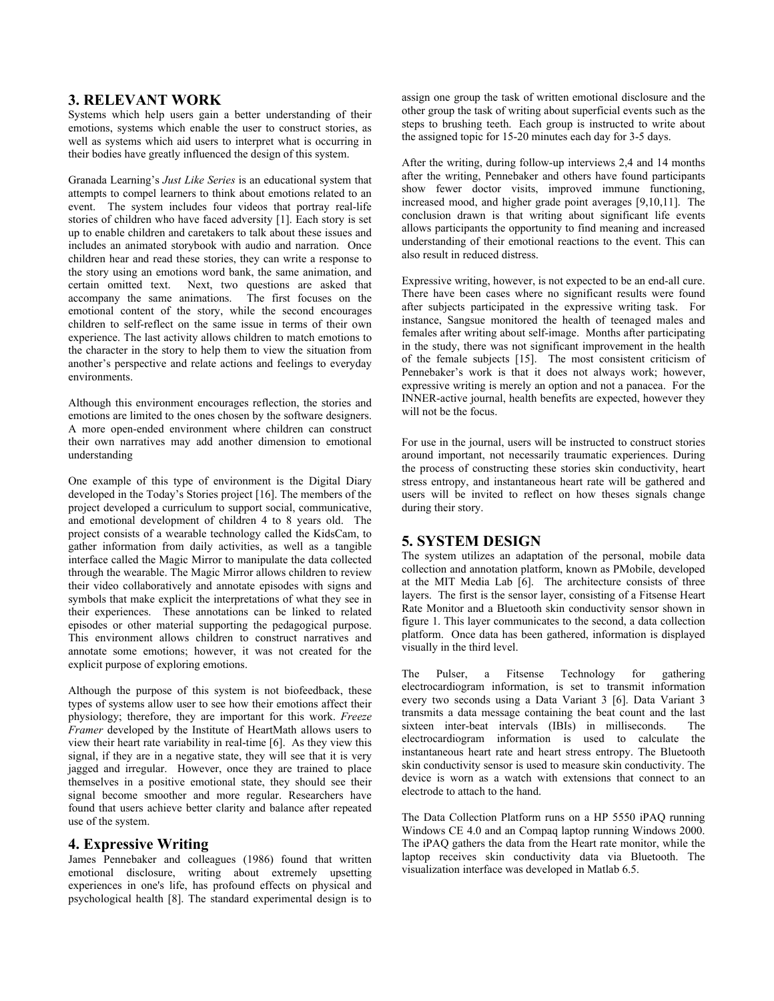### **3. RELEVANT WORK**

Systems which help users gain a better understanding of their emotions, systems which enable the user to construct stories, as well as systems which aid users to interpret what is occurring in their bodies have greatly influenced the design of this system.

Granada Learning's *Just Like Series* is an educational system that attempts to compel learners to think about emotions related to an event. The system includes four videos that portray real-life stories of children who have faced adversity [1]. Each story is set up to enable children and caretakers to talk about these issues and includes an animated storybook with audio and narration. Once children hear and read these stories, they can write a response to the story using an emotions word bank, the same animation, and certain omitted text. Next, two questions are asked that accompany the same animations. The first focuses on the emotional content of the story, while the second encourages children to self-reflect on the same issue in terms of their own experience. The last activity allows children to match emotions to the character in the story to help them to view the situation from another's perspective and relate actions and feelings to everyday environments.

Although this environment encourages reflection, the stories and emotions are limited to the ones chosen by the software designers. A more open-ended environment where children can construct their own narratives may add another dimension to emotional understanding

One example of this type of environment is the Digital Diary developed in the Today's Stories project [16]. The members of the project developed a curriculum to support social, communicative, and emotional development of children 4 to 8 years old. The project consists of a wearable technology called the KidsCam, to gather information from daily activities, as well as a tangible interface called the Magic Mirror to manipulate the data collected through the wearable. The Magic Mirror allows children to review their video collaboratively and annotate episodes with signs and symbols that make explicit the interpretations of what they see in their experiences. These annotations can be linked to related episodes or other material supporting the pedagogical purpose. This environment allows children to construct narratives and annotate some emotions; however, it was not created for the explicit purpose of exploring emotions.

Although the purpose of this system is not biofeedback, these types of systems allow user to see how their emotions affect their physiology; therefore, they are important for this work. *Freeze Framer* developed by the Institute of HeartMath allows users to view their heart rate variability in real-time [6]. As they view this signal, if they are in a negative state, they will see that it is very jagged and irregular. However, once they are trained to place themselves in a positive emotional state, they should see their signal become smoother and more regular. Researchers have found that users achieve better clarity and balance after repeated use of the system.

**4. Expressive Writing** James Pennebaker and colleagues (1986) found that written emotional disclosure, writing about extremely upsetting experiences in one's life, has profound effects on physical and psychological health [8]. The standard experimental design is to

assign one group the task of written emotional disclosure and the other group the task of writing about superficial events such as the steps to brushing teeth. Each group is instructed to write about the assigned topic for 15-20 minutes each day for 3-5 days.

After the writing, during follow-up interviews 2,4 and 14 months after the writing, Pennebaker and others have found participants show fewer doctor visits, improved immune functioning, increased mood, and higher grade point averages [9,10,11]. The conclusion drawn is that writing about significant life events allows participants the opportunity to find meaning and increased understanding of their emotional reactions to the event. This can also result in reduced distress.

Expressive writing, however, is not expected to be an end-all cure. There have been cases where no significant results were found after subjects participated in the expressive writing task. For instance, Sangsue monitored the health of teenaged males and females after writing about self-image. Months after participating in the study, there was not significant improvement in the health of the female subjects [15]. The most consistent criticism of Pennebaker's work is that it does not always work; however, expressive writing is merely an option and not a panacea. For the INNER-active journal, health benefits are expected, however they will not be the focus.

For use in the journal, users will be instructed to construct stories around important, not necessarily traumatic experiences. During the process of constructing these stories skin conductivity, heart stress entropy, and instantaneous heart rate will be gathered and users will be invited to reflect on how theses signals change during their story.

# **5. SYSTEM DESIGN**

The system utilizes an adaptation of the personal, mobile data collection and annotation platform, known as PMobile, developed at the MIT Media Lab [6]. The architecture consists of three layers. The first is the sensor layer, consisting of a Fitsense Heart Rate Monitor and a Bluetooth skin conductivity sensor shown in figure 1. This layer communicates to the second, a data collection platform. Once data has been gathered, information is displayed visually in the third level.

The Pulser, a Fitsense Technology for gathering electrocardiogram information, is set to transmit information every two seconds using a Data Variant 3 [6]. Data Variant 3 transmits a data message containing the beat count and the last sixteen inter-beat intervals (IBIs) in milliseconds. The electrocardiogram information is used to calculate the instantaneous heart rate and heart stress entropy. The Bluetooth skin conductivity sensor is used to measure skin conductivity. The device is worn as a watch with extensions that connect to an electrode to attach to the hand.

The Data Collection Platform runs on a HP 5550 iPAQ running Windows CE 4.0 and an Compaq laptop running Windows 2000. The iPAQ gathers the data from the Heart rate monitor, while the laptop receives skin conductivity data via Bluetooth. The visualization interface was developed in Matlab 6.5.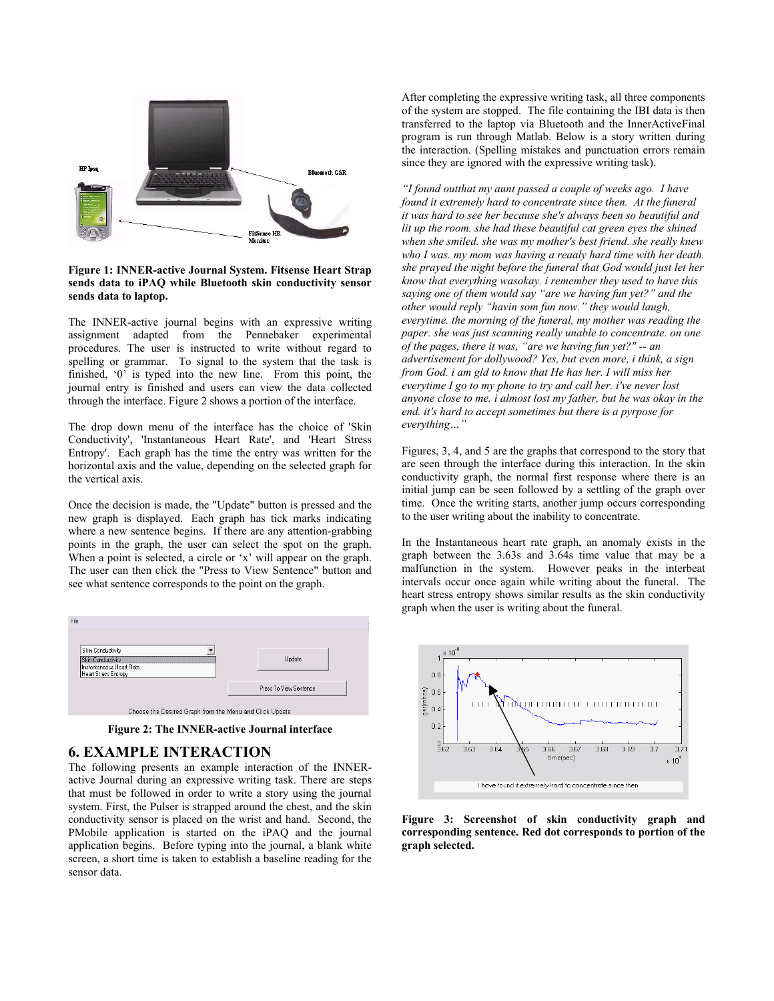

**Figure 1: INNER-active Journal System. Fitsense Heart Strap sends data to iPAQ while Bluetooth skin conductivity sensor sends data to laptop.** 

The INNER-active journal begins with an expressive writing assignment adapted from the Pennebaker experimental procedures. The user is instructed to write without regard to spelling or grammar. To signal to the system that the task is finished, '0' is typed into the new line. From this point, the journal entry is finished and users can view the data collected through the interface. Figure 2 shows a portion of the interface.

The drop down menu of the interface has the choice of 'Skin Conductivity', 'Instantaneous Heart Rate', and 'Heart Stress Entropy'. Each graph has the time the entry was written for the horizontal axis and the value, depending on the selected graph for the vertical axis.

Once the decision is made, the "Update" button is pressed and the new graph is displayed. Each graph has tick marks indicating where a new sentence begins. If there are any attention-grabbing points in the graph, the user can select the spot on the graph. When a point is selected, a circle or 'x' will appear on the graph. The user can then click the "Press to View Sentence" button and see what sentence corresponds to the point on the graph.



**Figure 2: The INNER-active Journal interface** 

# **6. EXAMPLE INTERACTION**

The following presents an example interaction of the INNERactive Journal during an expressive writing task. There are steps that must be followed in order to write a story using the journal system. First, the Pulser is strapped around the chest, and the skin conductivity sensor is placed on the wrist and hand. Second, the PMobile application is started on the iPAQ and the journal application begins. Before typing into the journal, a blank white screen, a short time is taken to establish a baseline reading for the sensor data.

After completing the expressive writing task, all three components of the system are stopped. The file containing the IBI data is then transferred to the laptop via Bluetooth and the InnerActiveFinal program is run through Matlab. Below is a story written during the interaction. (Spelling mistakes and punctuation errors remain since they are ignored with the expressive writing task).

*"I found outthat my aunt passed a couple of weeks ago. I have found it extremely hard to concentrate since then. At the funeral it was hard to see her because she's always been so beautiful and lit up the room. she had these beautiful cat green eyes the shined when she smiled. she was my mother's best friend. she really knew who I was. my mom was having a reaaly hard time with her death. she prayed the night before the funeral that God would just let her know that everything wasokay. i remember they used to have this saying one of them would say "are we having fun yet?" and the other would reply "havin som fun now." they would laugh, everytime. the morning of the funeral, my mother was reading the paper. she was just scanning really unable to concentrate. on one of the pages, there it was, "are we having fun yet?" -- an advertisement for dollywood? Yes, but even more, i think, a sign from God. i am gld to know that He has her. I will miss her everytime I go to my phone to try and call her. i've never lost anyone close to me. i almost lost my father, but he was okay in the end. it's hard to accept sometimes but there is a pyrpose for everything…"* 

Figures, 3, 4, and 5 are the graphs that correspond to the story that are seen through the interface during this interaction. In the skin conductivity graph, the normal first response where there is an initial jump can be seen followed by a settling of the graph over time. Once the writing starts, another jump occurs corresponding to the user writing about the inability to concentrate.

In the Instantaneous heart rate graph, an anomaly exists in the graph between the 3.63s and 3.64s time value that may be a malfunction in the system. However peaks in the interbeat intervals occur once again while writing about the funeral. The heart stress entropy shows similar results as the skin conductivity graph when the user is writing about the funeral.



**Figure 3: Screenshot of skin conductivity graph and corresponding sentence. Red dot corresponds to portion of the graph selected.**